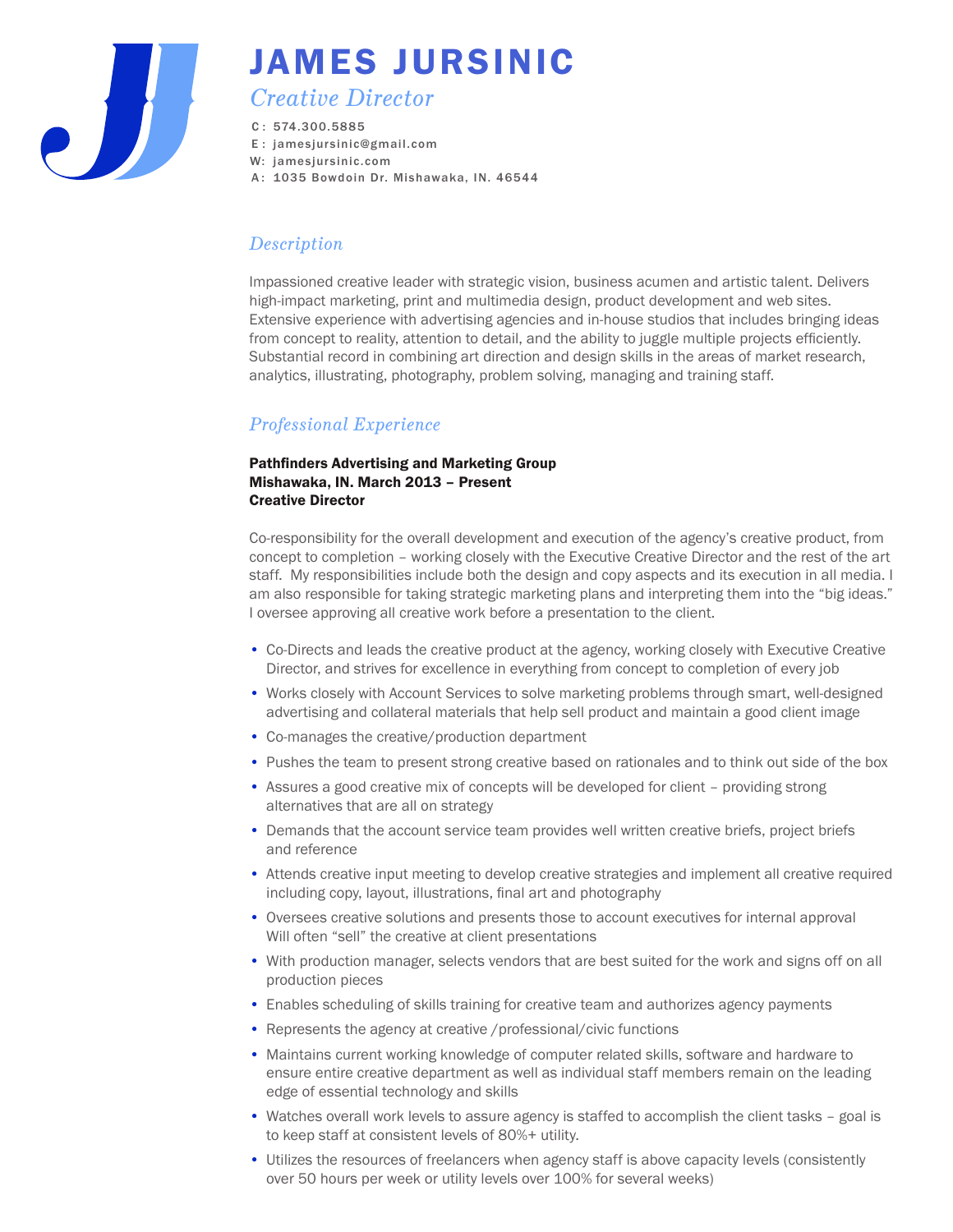

# JAMES JURSINIC

## *Creative Director*

- C : 574.300.5885
- E : jamesjursinic@gmail.com
- W: jamesjursinic.com
- A : 1035 Bowdoin Dr. Mishawaka, IN. 46544

## *Description*

Impassioned creative leader with strategic vision, business acumen and artistic talent. Delivers high-impact marketing, print and multimedia design, product development and web sites. Extensive experience with advertising agencies and in-house studios that includes bringing ideas from concept to reality, attention to detail, and the ability to juggle multiple projects efficiently. Substantial record in combining art direction and design skills in the areas of market research, analytics, illustrating, photography, problem solving, managing and training staff.

## *Professional Experience*

#### Pathfinders Advertising and Marketing Group Mishawaka, IN. March 2013 – Present Creative Director

Co-responsibility for the overall development and execution of the agency's creative product, from concept to completion – working closely with the Executive Creative Director and the rest of the art staff. My responsibilities include both the design and copy aspects and its execution in all media. I am also responsible for taking strategic marketing plans and interpreting them into the "big ideas." I oversee approving all creative work before a presentation to the client.

- Co-Directs and leads the creative product at the agency, working closely with Executive Creative Director, and strives for excellence in everything from concept to completion of every job
- Works closely with Account Services to solve marketing problems through smart, well-designed advertising and collateral materials that help sell product and maintain a good client image
- Co-manages the creative/production department
- Pushes the team to present strong creative based on rationales and to think out side of the box
- Assures a good creative mix of concepts will be developed for client providing strong alternatives that are all on strategy
- Demands that the account service team provides well written creative briefs, project briefs and reference
- Attends creative input meeting to develop creative strategies and implement all creative required including copy, layout, illustrations, final art and photography
- Oversees creative solutions and presents those to account executives for internal approval Will often "sell" the creative at client presentations
- With production manager, selects vendors that are best suited for the work and signs off on all production pieces
- Enables scheduling of skills training for creative team and authorizes agency payments
- Represents the agency at creative /professional/civic functions
- Maintains current working knowledge of computer related skills, software and hardware to ensure entire creative department as well as individual staff members remain on the leading edge of essential technology and skills
- Watches overall work levels to assure agency is staffed to accomplish the client tasks goal is to keep staff at consistent levels of 80%+ utility.
- Utilizes the resources of freelancers when agency staff is above capacity levels (consistently over 50 hours per week or utility levels over 100% for several weeks)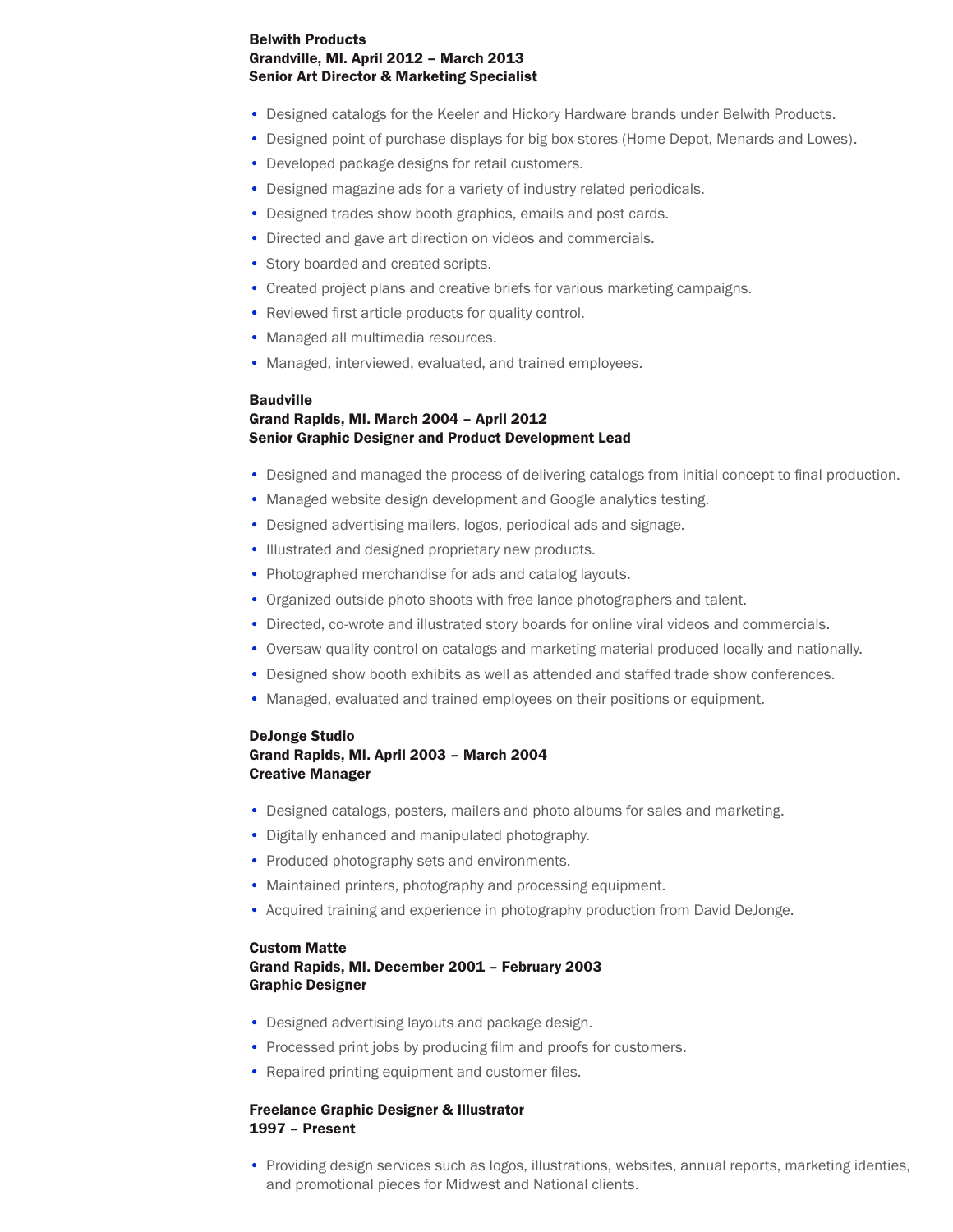#### Belwith Products Grandville, MI. April 2012 – March 2013 Senior Art Director & Marketing Specialist

- Designed catalogs for the Keeler and Hickory Hardware brands under Belwith Products.
- Designed point of purchase displays for big box stores (Home Depot, Menards and Lowes).
- Developed package designs for retail customers.
- Designed magazine ads for a variety of industry related periodicals.
- Designed trades show booth graphics, emails and post cards.
- Directed and gave art direction on videos and commercials.
- Story boarded and created scripts.
- Created project plans and creative briefs for various marketing campaigns.
- Reviewed first article products for quality control.
- Managed all multimedia resources.
- Managed, interviewed, evaluated, and trained employees.

#### **Baudville**

#### Grand Rapids, MI. March 2004 – April 2012 Senior Graphic Designer and Product Development Lead

- Designed and managed the process of delivering catalogs from initial concept to final production.
- Managed website design development and Google analytics testing.
- Designed advertising mailers, logos, periodical ads and signage.
- Illustrated and designed proprietary new products.
- Photographed merchandise for ads and catalog layouts.
- Organized outside photo shoots with free lance photographers and talent.
- Directed, co-wrote and illustrated story boards for online viral videos and commercials.
- Oversaw quality control on catalogs and marketing material produced locally and nationally.
- Designed show booth exhibits as well as attended and staffed trade show conferences.
- Managed, evaluated and trained employees on their positions or equipment.

#### DeJonge Studio Grand Rapids, MI. April 2003 – March 2004 Creative Manager

- Designed catalogs, posters, mailers and photo albums for sales and marketing.
- Digitally enhanced and manipulated photography.
- Produced photography sets and environments.
- Maintained printers, photography and processing equipment.
- Acquired training and experience in photography production from David DeJonge.

#### Custom Matte Grand Rapids, MI. December 2001 – February 2003

#### Graphic Designer

- Designed advertising layouts and package design.
- Processed print jobs by producing film and proofs for customers.
- Repaired printing equipment and customer files.

#### Freelance Graphic Designer & Illustrator 1997 – Present

• Providing design services such as logos, illustrations, websites, annual reports, marketing identies, and promotional pieces for Midwest and National clients.